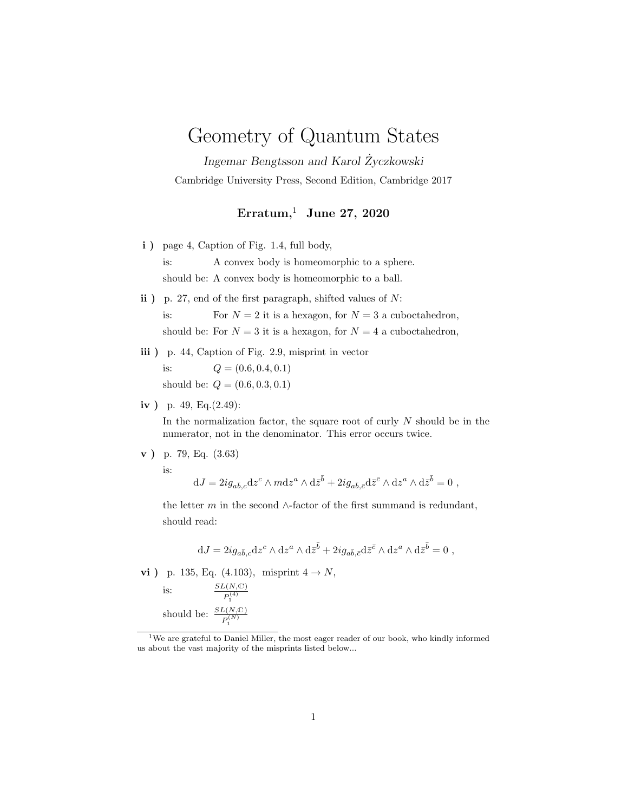## Geometry of Quantum States

Ingemar Bengtsson and Karol Zyczkowski ˙ Cambridge University Press, Second Edition, Cambridge 2017

## Erratum,<sup>1</sup> June 27, 2020

- i) page 4, Caption of Fig. 1.4, full body, is: A convex body is homeomorphic to a sphere. should be: A convex body is homeomorphic to a ball.
- ii) p. 27, end of the first paragraph, shifted values of  $N$ : is: For  $N = 2$  it is a hexagon, for  $N = 3$  a cuboctahedron, should be: For  $N = 3$  it is a hexagon, for  $N = 4$  a cuboctahedron,
- iii) p. 44, Caption of Fig. 2.9, misprint in vector is:  $Q = (0.6, 0.4, 0.1)$ should be:  $Q = (0.6, 0.3, 0.1)$
- iv ) p. 49, Eq.(2.49):

In the normalization factor, the square root of curly  $N$  should be in the numerator, not in the denominator. This error occurs twice.

v ) p. 79, Eq. (3.63)

is:

 $dJ = 2ig_{a\bar{b},c}dz^c \wedge m dz^a \wedge d\bar{z}^{\bar{b}} + 2ig_{a\bar{b},\bar{c}}d\bar{z}^{\bar{c}} \wedge dz^a \wedge d\bar{z}^{\bar{b}} = 0$ ,

the letter m in the second  $\wedge$ -factor of the first summand is redundant, should read:

$$
dJ = 2ig_{a\bar{b},c}dz^c \wedge dz^a \wedge d\bar{z}^{\bar{b}} + 2ig_{a\bar{b},\bar{c}}d\bar{z}^{\bar{c}} \wedge dz^a \wedge d\bar{z}^{\bar{b}} = 0 ,
$$

**vi** ) p. 135, Eq. (4.103), misprint  $4 \to N$ ,

is:  
\n
$$
\frac{SL(N,\mathbb{C})}{P_1^{(4)}}
$$
\nshould be:  
\n
$$
\frac{SL(N,\mathbb{C})}{P_1^{(N)}}
$$

<sup>&</sup>lt;sup>1</sup>We are grateful to Daniel Miller, the most eager reader of our book, who kindly informed us about the vast majority of the misprints listed below...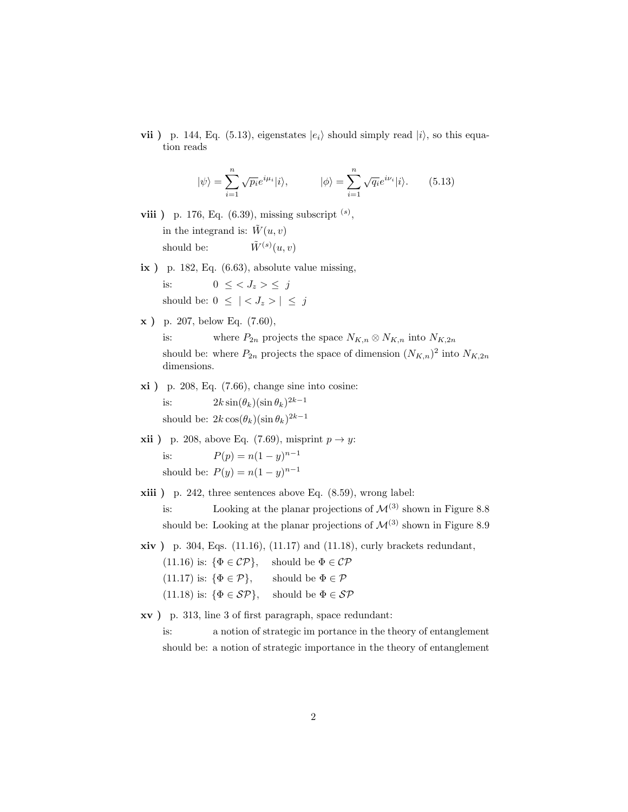vii ) p. 144, Eq. (5.13), eigenstates  $|e_i\rangle$  should simply read  $|i\rangle$ , so this equation reads

$$
|\psi\rangle = \sum_{i=1}^{n} \sqrt{p_i} e^{i\mu_i} |i\rangle, \qquad |\phi\rangle = \sum_{i=1}^{n} \sqrt{q_i} e^{i\nu_i} |i\rangle. \qquad (5.13)
$$

**viii** ) p. 176, Eq.  $(6.39)$ , missing subscript  $(s)$ , in the integrand is:  $\tilde{W}(u, v)$ should be:  $\tilde{W}^{(s)}(u, v)$ 

- $ix$ ) p. 182, Eq.  $(6.63)$ , absolute value missing, is:  $0 \leq \langle J_z \rangle \leq i$ should be:  $0 \leq \vert \langle J_z \rangle \vert \leq j$
- x ) p. 207, below Eq. (7.60),

is: where  $P_{2n}$  projects the space  $N_{K,n} \otimes N_{K,n}$  into  $N_{K,2n}$ 

should be: where  $P_{2n}$  projects the space of dimension  $(N_{K,n})^2$  into  $N_{K,2n}$ dimensions.

- xi ) p. 208, Eq. (7.66), change sine into cosine: is:  $2k \sin(\theta_k)(\sin \theta_k)^{2k-1}$ should be:  $2k\cos(\theta_k)(\sin \theta_k)^{2k-1}$
- **xii** ) p. 208, above Eq. (7.69), misprint  $p \rightarrow y$ :

is:  $P(p) = n(1 - y)^{n-1}$ should be:  $P(y) = n(1 - y)^{n-1}$ 

xiii ) p. 242, three sentences above Eq. (8.59), wrong label:

is: Looking at the planar projections of  $\mathcal{M}^{(3)}$  shown in Figure 8.8 should be: Looking at the planar projections of  $\mathcal{M}^{(3)}$  shown in Figure 8.9

 $xiv$ ) p. 304, Eqs. (11.16), (11.17) and (11.18), curly brackets redundant,

(11.16) is:  $\{\Phi \in \mathcal{CP}\}\$ , should be  $\Phi \in \mathcal{CP}$ (11.17) is:  $\{\Phi \in \mathcal{P}\}\$ , should be  $\Phi \in \mathcal{P}$ (11.18) is:  $\{\Phi \in \mathcal{SP}\},\$  should be  $\Phi \in \mathcal{SP}$ 

xv ) p. 313, line 3 of first paragraph, space redundant:

is: a notion of strategic im portance in the theory of entanglement should be: a notion of strategic importance in the theory of entanglement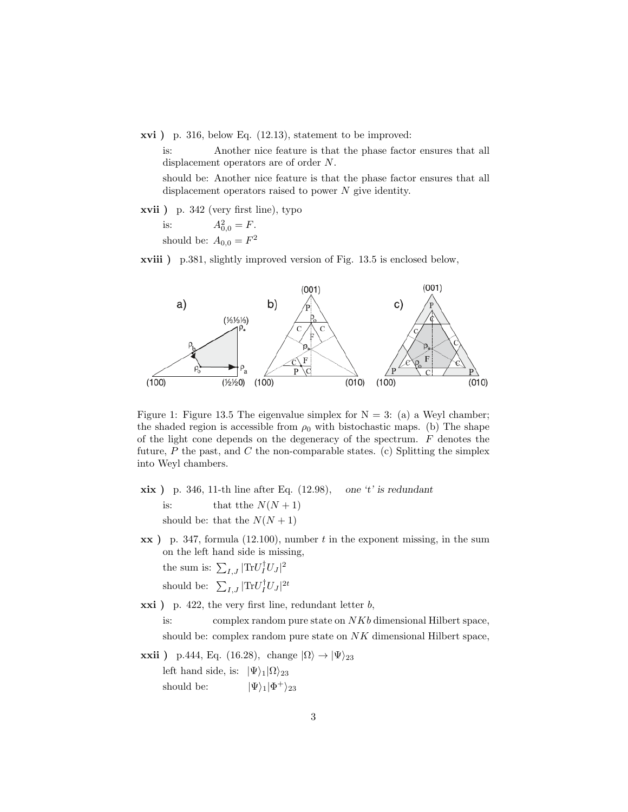xvi ) p. 316, below Eq. (12.13), statement to be improved:

is: Another nice feature is that the phase factor ensures that all displacement operators are of order N.

should be: Another nice feature is that the phase factor ensures that all displacement operators raised to power  $N$  give identity.

xvii ) p. 342 (very first line), typo

is:  $A_{0,0}^2 = F$ .

should be:  $A_{0,0} = F^2$ 

xviii ) p.381, slightly improved version of Fig. 13.5 is enclosed below,



Figure 1: Figure 13.5 The eigenvalue simplex for  $N = 3$ : (a) a Weyl chamber; the shaded region is accessible from  $\rho_0$  with bistochastic maps. (b) The shape of the light cone depends on the degeneracy of the spectrum.  $F$  denotes the future,  $P$  the past, and  $C$  the non-comparable states. (c) Splitting the simplex into Weyl chambers.

 $\dot{x}$  ) p. 346, 11-th line after Eq. (12.98), one 't' is redundant is: that tthe  $N(N + 1)$ should be: that the  $N(N + 1)$ 

 $\mathbf{xx}$ ) p. 347, formula (12.100), number t in the exponent missing, in the sum on the left hand side is missing, the sum is:  $\sum_{I,J} |\text{Tr} U_I^{\dagger} U_J|^2$ 

should be:  $\sum_{I,J} |\text{Tr} U_I^{\dagger} U_J|^{2t}$ 

 $\overrightarrow{xxi}$ ) p. 422, the very first line, redundant letter b, is: complex random pure state on NKb dimensional Hilbert space,

should be: complex random pure state on  $NK$  dimensional Hilbert space,

**xxii** ) p.444, Eq. (16.28), change  $|\Omega\rangle \rightarrow |\Psi\rangle_{23}$ left hand side, is:  $|\Psi\rangle_1|\Omega\rangle_{23}$ should be:  $|\Psi\rangle_{1}|\Phi^{+}\rangle_{23}$